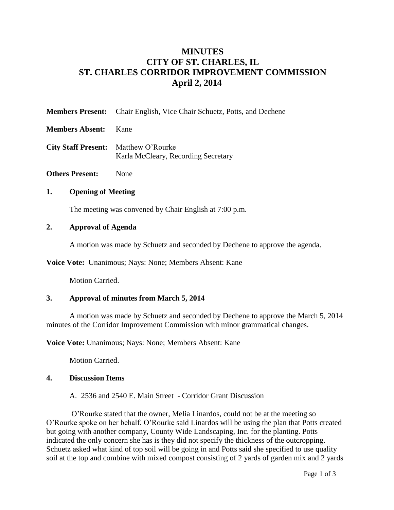# **MINUTES CITY OF ST. CHARLES, IL ST. CHARLES CORRIDOR IMPROVEMENT COMMISSION April 2, 2014**

| <b>Members Present:</b> Chair English, Vice Chair Schuetz, Potts, and Dechene |  |  |
|-------------------------------------------------------------------------------|--|--|
|                                                                               |  |  |

- **Members Absent:** Kane
- **City Staff Present:** Matthew O'Rourke Karla McCleary, Recording Secretary
- **Others Present:** None

### **1. Opening of Meeting**

The meeting was convened by Chair English at 7:00 p.m.

#### **2. Approval of Agenda**

A motion was made by Schuetz and seconded by Dechene to approve the agenda.

**Voice Vote:** Unanimous; Nays: None; Members Absent: Kane

Motion Carried.

### **3. Approval of minutes from March 5, 2014**

A motion was made by Schuetz and seconded by Dechene to approve the March 5, 2014 minutes of the Corridor Improvement Commission with minor grammatical changes.

**Voice Vote:** Unanimous; Nays: None; Members Absent: Kane

Motion Carried.

### **4. Discussion Items**

A. 2536 and 2540 E. Main Street - Corridor Grant Discussion

O'Rourke stated that the owner, Melia Linardos, could not be at the meeting so O'Rourke spoke on her behalf. O'Rourke said Linardos will be using the plan that Potts created but going with another company, County Wide Landscaping, Inc. for the planting. Potts indicated the only concern she has is they did not specify the thickness of the outcropping. Schuetz asked what kind of top soil will be going in and Potts said she specified to use quality soil at the top and combine with mixed compost consisting of 2 yards of garden mix and 2 yards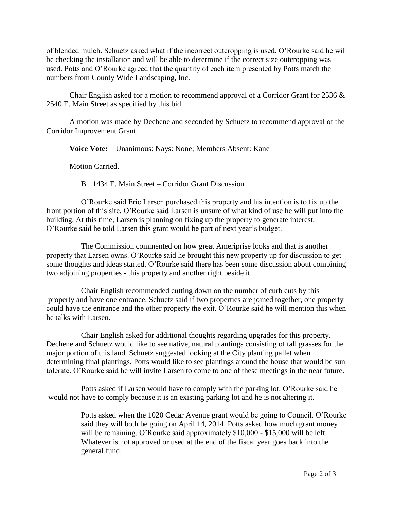of blended mulch. Schuetz asked what if the incorrect outcropping is used. O'Rourke said he will be checking the installation and will be able to determine if the correct size outcropping was used. Potts and O'Rourke agreed that the quantity of each item presented by Potts match the numbers from County Wide Landscaping, Inc.

Chair English asked for a motion to recommend approval of a Corridor Grant for 2536 & 2540 E. Main Street as specified by this bid.

A motion was made by Dechene and seconded by Schuetz to recommend approval of the Corridor Improvement Grant.

**Voice Vote:** Unanimous: Nays: None; Members Absent: Kane

Motion Carried.

B. 1434 E. Main Street – Corridor Grant Discussion

O'Rourke said Eric Larsen purchased this property and his intention is to fix up the front portion of this site. O'Rourke said Larsen is unsure of what kind of use he will put into the building. At this time, Larsen is planning on fixing up the property to generate interest. O'Rourke said he told Larsen this grant would be part of next year's budget.

The Commission commented on how great Ameriprise looks and that is another property that Larsen owns. O'Rourke said he brought this new property up for discussion to get some thoughts and ideas started. O'Rourke said there has been some discussion about combining two adjoining properties - this property and another right beside it.

Chair English recommended cutting down on the number of curb cuts by this property and have one entrance. Schuetz said if two properties are joined together, one property could have the entrance and the other property the exit. O'Rourke said he will mention this when he talks with Larsen.

Chair English asked for additional thoughts regarding upgrades for this property. Dechene and Schuetz would like to see native, natural plantings consisting of tall grasses for the major portion of this land. Schuetz suggested looking at the City planting pallet when determining final plantings. Potts would like to see plantings around the house that would be sun tolerate. O'Rourke said he will invite Larsen to come to one of these meetings in the near future.

Potts asked if Larsen would have to comply with the parking lot. O'Rourke said he would not have to comply because it is an existing parking lot and he is not altering it.

> Potts asked when the 1020 Cedar Avenue grant would be going to Council. O'Rourke said they will both be going on April 14, 2014. Potts asked how much grant money will be remaining. O'Rourke said approximately \$10,000 - \$15,000 will be left. Whatever is not approved or used at the end of the fiscal year goes back into the general fund.